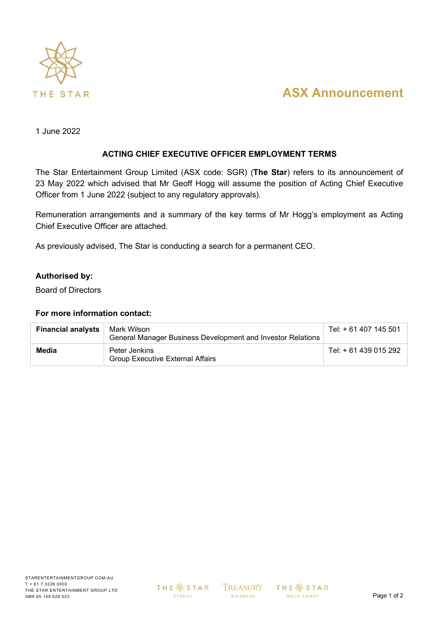

# **ASX Announcement**

1 June 2022

### **ACTING CHIEF EXECUTIVE OFFICER EMPLOYMENT TERMS**

The Star Entertainment Group Limited (ASX code: SGR) (**The Star**) refers to its announcement of 23 May 2022 which advised that Mr Geoff Hogg will assume the position of Acting Chief Executive Officer from 1 June 2022 (subject to any regulatory approvals).

Remuneration arrangements and a summary of the key terms of Mr Hogg's employment as Acting Chief Executive Officer are attached.

As previously advised, The Star is conducting a search for a permanent CEO.

#### **Authorised by:**

Board of Directors

#### **For more information contact:**

| <b>Financial analysts</b> | Mark Wilson<br>General Manager Business Development and Investor Relations | Tel: + 61 407 145 501 |
|---------------------------|----------------------------------------------------------------------------|-----------------------|
| Media                     | Peter Jenkins<br><b>Group Executive External Affairs</b>                   | Tel: + 61 439 015 292 |

**THE ※ STAR SYDNEY** 

**BRISBANE** 

 $TREASURY$  THE  $\frac{36}{100}$  STAR GOLD COAST